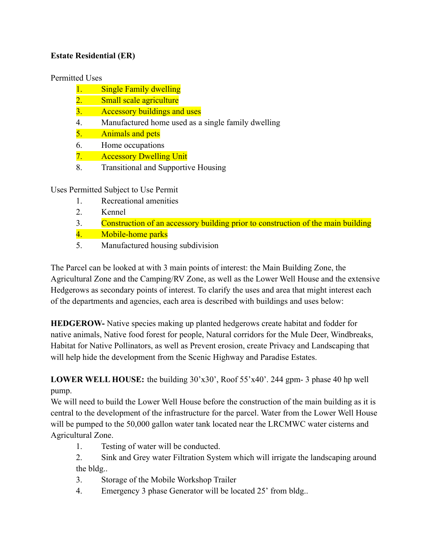## **Estate Residential (ER)**

#### Permitted Uses

- 1. Single Family dwelling
- 2. Small scale agriculture
- 3. Accessory buildings and uses
- 4. Manufactured home used as a single family dwelling
- 5. Animals and pets
- 6. Home occupations
- 7. Accessory Dwelling Unit
- 8. Transitional and Supportive Housing

Uses Permitted Subject to Use Permit

- 1. Recreational amenities
- 2. Kennel
- 3. Construction of an accessory building prior to construction of the main building
- 4. Mobile-home parks
- 5. Manufactured housing subdivision

The Parcel can be looked at with 3 main points of interest: the Main Building Zone, the Agricultural Zone and the Camping/RV Zone, as well as the Lower Well House and the extensive Hedgerows as secondary points of interest. To clarify the uses and area that might interest each of the departments and agencies, each area is described with buildings and uses below:

**HEDGEROW-** Native species making up planted hedgerows create habitat and fodder for native animals, Native food forest for people, Natural corridors for the Mule Deer, Windbreaks, Habitat for Native Pollinators, as well as Prevent erosion, create Privacy and Landscaping that will help hide the development from the Scenic Highway and Paradise Estates.

**LOWER WELL HOUSE:** the building 30'x30', Roof 55'x40'. 244 gpm- 3 phase 40 hp well pump.

We will need to build the Lower Well House before the construction of the main building as it is central to the development of the infrastructure for the parcel. Water from the Lower Well House will be pumped to the 50,000 gallon water tank located near the LRCMWC water cisterns and Agricultural Zone.

1. Testing of water will be conducted.

2. Sink and Grey water Filtration System which will irrigate the landscaping around the bldg..

- 3. Storage of the Mobile Workshop Trailer
- 4. Emergency 3 phase Generator will be located 25' from bldg..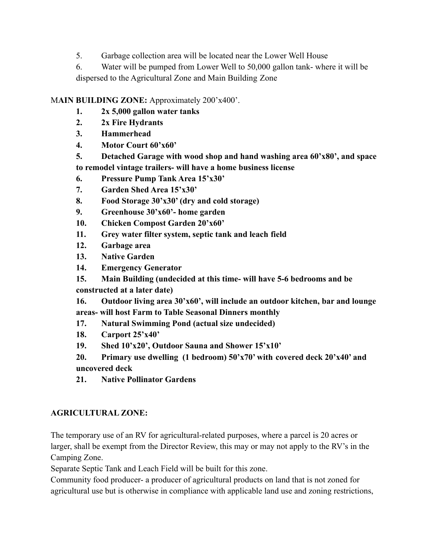5. Garbage collection area will be located near the Lower Well House

6. Water will be pumped from Lower Well to 50,000 gallon tank- where it will be dispersed to the Agricultural Zone and Main Building Zone

### M**AIN BUILDING ZONE:** Approximately 200'x400'.

- **1. 2x 5,000 gallon water tanks**
- **2. 2x Fire Hydrants**
- **3. Hammerhead**
- **4. Motor Court 60'x60'**
- **5. Detached Garage with wood shop and hand washing area 60'x80', and space to remodel vintage trailers- will have a home business license**
- **6. Pressure Pump Tank Area 15'x30'**
- **7. Garden Shed Area 15'x30'**
- **8. Food Storage 30'x30' (dry and cold storage)**
- **9. Greenhouse 30'x60'- home garden**
- **10. Chicken Compost Garden 20'x60'**
- **11. Grey water filter system, septic tank and leach field**
- **12. Garbage area**
- **13. Native Garden**
- **14. Emergency Generator**
- **15. Main Building (undecided at this time- will have 5-6 bedrooms and be**

**constructed at a later date)**

**16. Outdoor living area 30'x60', will include an outdoor kitchen, bar and lounge areas- will host Farm to Table Seasonal Dinners monthly**

- **17. Natural Swimming Pond (actual size undecided)**
- **18. Carport 25'x40'**
- **19. Shed 10'x20', Outdoor Sauna and Shower 15'x10'**
- **20. Primary use dwelling (1 bedroom) 50'x70' with covered deck 20'x40' and uncovered deck**
- **21. Native Pollinator Gardens**

#### **AGRICULTURAL ZONE:**

The temporary use of an RV for agricultural-related purposes, where a parcel is 20 acres or larger, shall be exempt from the Director Review, this may or may not apply to the RV's in the Camping Zone.

Separate Septic Tank and Leach Field will be built for this zone.

Community food producer- a producer of agricultural products on land that is not zoned for agricultural use but is otherwise in compliance with applicable land use and zoning restrictions,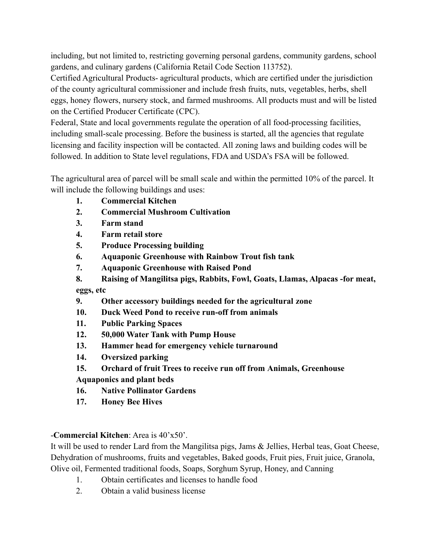including, but not limited to, restricting governing personal gardens, community gardens, school gardens, and culinary gardens (California Retail Code Section 113752).

Certified Agricultural Products- agricultural products, which are certified under the jurisdiction of the county agricultural commissioner and include fresh fruits, nuts, vegetables, herbs, shell eggs, honey flowers, nursery stock, and farmed mushrooms. All products must and will be listed on the Certified Producer Certificate (CPC).

Federal, State and local governments regulate the operation of all food-processing facilities, including small-scale processing. Before the business is started, all the agencies that regulate licensing and facility inspection will be contacted. All zoning laws and building codes will be followed. In addition to State level regulations, FDA and USDA's FSA will be followed.

The agricultural area of parcel will be small scale and within the permitted 10% of the parcel. It will include the following buildings and uses:

- **1. Commercial Kitchen**
- **2. Commercial Mushroom Cultivation**
- **3. Farm stand**
- **4. Farm retail store**
- **5. Produce Processing building**
- **6. Aquaponic Greenhouse with Rainbow Trout fish tank**
- **7. Aquaponic Greenhouse with Raised Pond**
- **8. Raising of Mangilitsa pigs, Rabbits, Fowl, Goats, Llamas, Alpacas -for meat, eggs, etc**
- **9. Other accessory buildings needed for the agricultural zone**
- **10. Duck Weed Pond to receive run-off from animals**
- **11. Public Parking Spaces**
- **12. 50,000 Water Tank with Pump House**
- **13. Hammer head for emergency vehicle turnaround**
- **14. Oversized parking**
- **15. Orchard of fruit Trees to receive run off from Animals, Greenhouse**

**Aquaponics and plant beds**

- **16. Native Pollinator Gardens**
- **17. Honey Bee Hives**

## -**Commercial Kitchen**: Area is 40'x50'.

It will be used to render Lard from the Mangilitsa pigs, Jams & Jellies, Herbal teas, Goat Cheese, Dehydration of mushrooms, fruits and vegetables, Baked goods, Fruit pies, Fruit juice, Granola, Olive oil, Fermented traditional foods, Soaps, Sorghum Syrup, Honey, and Canning

- 1. Obtain certificates and licenses to handle food
- 2. Obtain a valid business license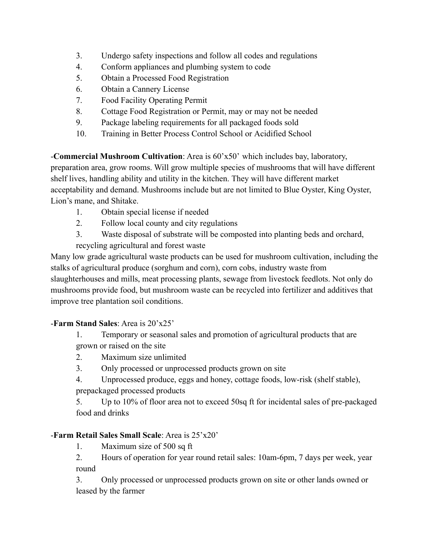- 3. Undergo safety inspections and follow all codes and regulations
- 4. Conform appliances and plumbing system to code
- 5. Obtain a Processed Food Registration
- 6. Obtain a Cannery License
- 7. Food Facility Operating Permit
- 8. Cottage Food Registration or Permit, may or may not be needed
- 9. Package labeling requirements for all packaged foods sold
- 10. Training in Better Process Control School or Acidified School

-**Commercial Mushroom Cultivation**: Area is 60'x50' which includes bay, laboratory, preparation area, grow rooms. Will grow multiple species of mushrooms that will have different shelf lives, handling ability and utility in the kitchen. They will have different market acceptability and demand. Mushrooms include but are not limited to Blue Oyster, King Oyster, Lion's mane, and Shitake.

- 1. Obtain special license if needed
- 2. Follow local county and city regulations
- 3. Waste disposal of substrate will be composted into planting beds and orchard,

recycling agricultural and forest waste

Many low grade agricultural waste products can be used for mushroom cultivation, including the stalks of agricultural produce (sorghum and corn), corn cobs, industry waste from slaughterhouses and mills, meat processing plants, sewage from livestock feedlots. Not only do mushrooms provide food, but mushroom waste can be recycled into fertilizer and additives that improve tree plantation soil conditions.

## -**Farm Stand Sales**: Area is 20'x25'

- 1. Temporary or seasonal sales and promotion of agricultural products that are grown or raised on the site
- 2. Maximum size unlimited
- 3. Only processed or unprocessed products grown on site
- 4. Unprocessed produce, eggs and honey, cottage foods, low-risk (shelf stable), prepackaged processed products

5. Up to 10% of floor area not to exceed 50sq ft for incidental sales of pre-packaged food and drinks

# -**Farm Retail Sales Small Scale**: Area is 25'x20'

1. Maximum size of 500 sq ft

2. Hours of operation for year round retail sales: 10am-6pm, 7 days per week, year round

3. Only processed or unprocessed products grown on site or other lands owned or leased by the farmer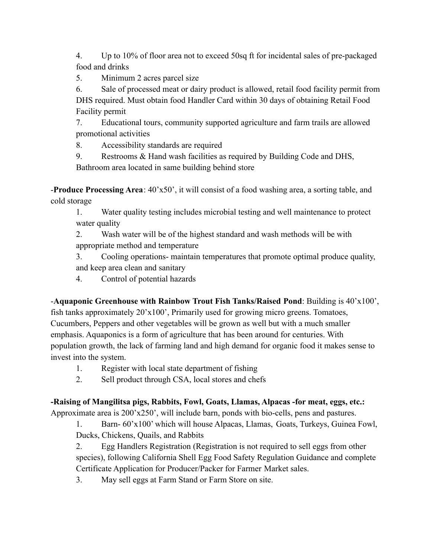4. Up to 10% of floor area not to exceed 50sq ft for incidental sales of pre-packaged food and drinks

5. Minimum 2 acres parcel size

6. Sale of processed meat or dairy product is allowed, retail food facility permit from DHS required. Must obtain food Handler Card within 30 days of obtaining Retail Food Facility permit

7. Educational tours, community supported agriculture and farm trails are allowed promotional activities

8. Accessibility standards are required

9. Restrooms & Hand wash facilities as required by Building Code and DHS, Bathroom area located in same building behind store

-**Produce Processing Area**: 40'x50', it will consist of a food washing area, a sorting table, and cold storage

1. Water quality testing includes microbial testing and well maintenance to protect water quality

2. Wash water will be of the highest standard and wash methods will be with appropriate method and temperature

3. Cooling operations- maintain temperatures that promote optimal produce quality, and keep area clean and sanitary

4. Control of potential hazards

-**Aquaponic Greenhouse with Rainbow Trout Fish Tanks/Raised Pond**: Building is 40'x100', fish tanks approximately 20'x100', Primarily used for growing micro greens. Tomatoes, Cucumbers, Peppers and other vegetables will be grown as well but with a much smaller emphasis. Aquaponics is a form of agriculture that has been around for centuries. With population growth, the lack of farming land and high demand for organic food it makes sense to invest into the system.

- 1. Register with local state department of fishing
- 2. Sell product through CSA, local stores and chefs

**-Raising of Mangilitsa pigs, Rabbits, Fowl, Goats, Llamas, Alpacas -for meat, eggs, etc.:** Approximate area is 200'x250', will include barn, ponds with bio-cells, pens and pastures.

1. Barn- 60'x100' which will house Alpacas, Llamas, Goats, Turkeys, Guinea Fowl, Ducks, Chickens, Quails, and Rabbits

2. Egg Handlers Registration (Registration is not required to sell eggs from other species), following California Shell Egg Food Safety Regulation Guidance and complete Certificate Application for Producer/Packer for Farmer Market sales.

3. May sell eggs at Farm Stand or Farm Store on site.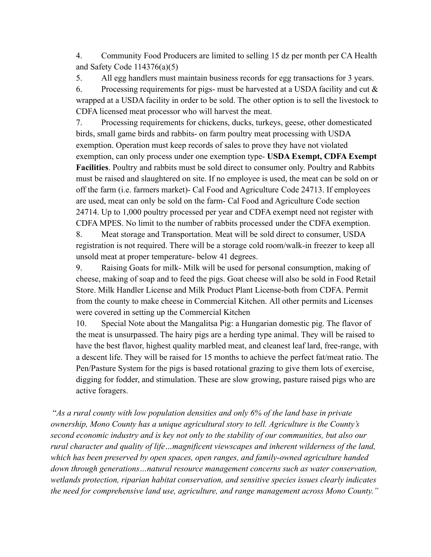4. Community Food Producers are limited to selling 15 dz per month per CA Health and Safety Code  $114376(a)(5)$ 

5. All egg handlers must maintain business records for egg transactions for 3 years.

6. Processing requirements for pigs- must be harvested at a USDA facility and cut  $\&$ wrapped at a USDA facility in order to be sold. The other option is to sell the livestock to CDFA licensed meat processor who will harvest the meat.

7. Processing requirements for chickens, ducks, turkeys, geese, other domesticated birds, small game birds and rabbits- on farm poultry meat processing with USDA exemption. Operation must keep records of sales to prove they have not violated exemption, can only process under one exemption type- **USDA Exempt, CDFA Exempt Facilities**. Poultry and rabbits must be sold direct to consumer only. Poultry and Rabbits must be raised and slaughtered on site. If no employee is used, the meat can be sold on or off the farm (i.e. farmers market)- Cal Food and Agriculture Code 24713. If employees are used, meat can only be sold on the farm- Cal Food and Agriculture Code section 24714. Up to 1,000 poultry processed per year and CDFA exempt need not register with CDFA MPES. No limit to the number of rabbits processed under the CDFA exemption.

8. Meat storage and Transportation. Meat will be sold direct to consumer, USDA registration is not required. There will be a storage cold room/walk-in freezer to keep all unsold meat at proper temperature- below 41 degrees.

9. Raising Goats for milk- Milk will be used for personal consumption, making of cheese, making of soap and to feed the pigs. Goat cheese will also be sold in Food Retail Store. Milk Handler License and Milk Product Plant License-both from CDFA. Permit from the county to make cheese in Commercial Kitchen. All other permits and Licenses were covered in setting up the Commercial Kitchen

10. Special Note about the Mangalitsa Pig: a Hungarian domestic pig. The flavor of the meat is unsurpassed. The hairy pigs are a herding type animal. They will be raised to have the best flavor, highest quality marbled meat, and cleanest leaf lard, free-range, with a descent life. They will be raised for 15 months to achieve the perfect fat/meat ratio. The Pen/Pasture System for the pigs is based rotational grazing to give them lots of exercise, digging for fodder, and stimulation. These are slow growing, pasture raised pigs who are active foragers.

"*As a rural county with low population densities and only 6% of the land base in private ownership, Mono County has a unique agricultural story to tell. Agriculture is the County's second economic industry and is key not only to the stability of our communities, but also our rural character and quality of life…magnificent viewscapes and inherent wilderness of the land, which has been preserved by open spaces, open ranges, and family-owned agriculture handed down through generations…natural resource management concerns such as water conservation, wetlands protection, riparian habitat conservation, and sensitive species issues clearly indicates the need for comprehensive land use, agriculture, and range management across Mono County."*